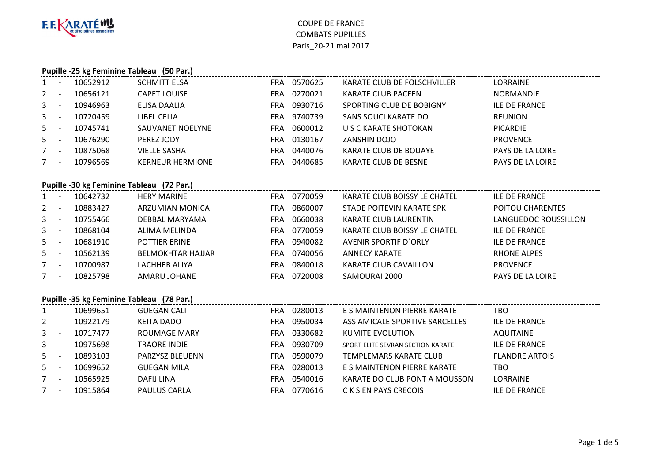

#### **Pupille -25 kg Feminine Tableau (50 Par.)**

| $\mathbf{1}$ | 10652912 | <b>SCHMITT ELSA</b>     | FRA | 0570625 | KARATE CLUB DE FOLSCHVILLER | <b>LORRAINE</b>         |
|--------------|----------|-------------------------|-----|---------|-----------------------------|-------------------------|
| $\mathbf{2}$ | 10656121 | <b>CAPET LOUISE</b>     | FRA | 0270021 | KARATE CLUB PACEEN          | <b>NORMANDIE</b>        |
| $\mathbf{3}$ | 10946963 | ELISA DAALIA            | FRA | 0930716 | SPORTING CLUB DE BOBIGNY    | ILE DE FRANCE           |
| $\mathbf{3}$ | 10720459 | LIBEL CELIA             | FRA | 9740739 | SANS SOUCI KARATE DO        | <b>REUNION</b>          |
| 5            | 10745741 | SAUVANET NOELYNE        | FRA | 0600012 | U S C KARATE SHOTOKAN       | <b>PICARDIE</b>         |
| 5            | 10676290 | PEREZ JODY              | FRA | 0130167 | ZANSHIN DOJO                | <b>PROVENCE</b>         |
| 7            | 10875068 | <b>VIELLE SASHA</b>     | FRA | 0440076 | KARATE CLUB DE BOUAYE       | <b>PAYS DE LA LOIRE</b> |
| 7            | 10796569 | <b>KERNEUR HERMIONE</b> | FRA | 0440685 | <b>KARATE CLUB DE BESNE</b> | <b>PAYS DE LA LOIRE</b> |

### **Pupille -30 kg Feminine Tableau (72 Par.)**

| $1 -$ | 10642732 | <b>HERY MARINE</b>       | <b>FRA</b> | 0770059     | KARATE CLUB BOISSY LE CHATEL | ILE DE FRANCE        |
|-------|----------|--------------------------|------------|-------------|------------------------------|----------------------|
| $2 -$ | 10883427 | ARZUMIAN MONICA          | FRA        | 0860007     | STADE POITEVIN KARATE SPK    | POITOU CHARENTES     |
| $3 -$ | 10755466 | DEBBAL MARYAMA           | <b>FRA</b> | 0660038     | <b>KARATE CLUB LAURENTIN</b> | LANGUEDOC ROUSSILLON |
| $3 -$ | 10868104 | ALIMA MELINDA            | FRA        | 0770059     | KARATE CLUB BOISSY LE CHATEL | <b>ILE DE FRANCE</b> |
| $5 -$ | 10681910 | <b>POTTIER ERINE</b>     |            | FRA 0940082 | AVENIR SPORTIF D'ORLY        | <b>ILE DE FRANCE</b> |
| $5 -$ | 10562139 | <b>BELMOKHTAR HAJJAR</b> | FRA        | 0740056     | <b>ANNECY KARATE</b>         | <b>RHONE ALPES</b>   |
| $7 -$ | 10700987 | LACHHEB ALIYA            | FRA        | 0840018     | KARATE CLUB CAVAILLON        | <b>PROVENCE</b>      |
| $7 -$ | 10825798 | AMARU JOHANE             | FRA        | 0720008     | SAMOURAI 2000                | PAYS DE LA LOIRE     |

#### **Pupille -35 kg Feminine Tableau (78 Par.)**

| $1 -$        |                          | 10699651 | <b>GUEGAN CALI</b>  | <b>FRA</b> | 0280013 | E S MAINTENON PIERRE KARATE       | TBO                   |
|--------------|--------------------------|----------|---------------------|------------|---------|-----------------------------------|-----------------------|
| $\mathbf{2}$ |                          | 10922179 | KEITA DADO          | <b>FRA</b> | 0950034 | ASS AMICALE SPORTIVE SARCELLES    | <b>ILE DE FRANCE</b>  |
| $3 -$        |                          | 10717477 | <b>ROUMAGE MARY</b> | <b>FRA</b> | 0330682 | KUMITE EVOLUTION                  | <b>AQUITAINE</b>      |
| $3^{\circ}$  | <u>т</u>                 | 10975698 | <b>TRAORE INDIE</b> | <b>FRA</b> | 0930709 | SPORT ELITE SEVRAN SECTION KARATE | <b>ILE DE FRANCE</b>  |
| $5 -$        |                          | 10893103 | PARZYSZ BLEUENN     | <b>FRA</b> | 0590079 | TEMPLEMARS KARATE CLUB            | <b>FLANDRE ARTOIS</b> |
| $5 -$        |                          | 10699652 | <b>GUEGAN MILA</b>  | <b>FRA</b> | 0280013 | E S MAINTENON PIERRE KARATE       | TBO                   |
|              | $\overline{\phantom{a}}$ | 10565925 | DAFIJ LINA          | <b>FRA</b> | 0540016 | KARATE DO CLUB PONT A MOUSSON     | <b>LORRAINE</b>       |
|              | $\overline{\phantom{a}}$ | 10915864 | <b>PAULUS CARLA</b> | <b>FRA</b> | 0770616 | C K S EN PAYS CRECOIS             | <b>ILE DE FRANCE</b>  |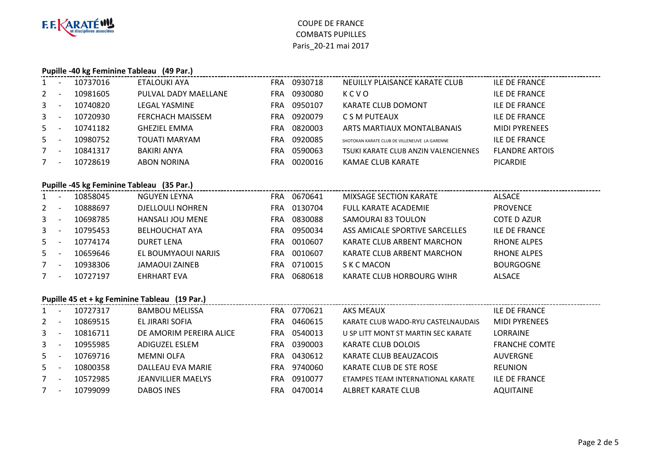

#### **Pupille -40 kg Feminine Tableau (49 Par.)**

| $\mathbf{1}$ | 10737016 | ETALOUKI AYA            | <b>FRA</b> | 0930718 | NEUILLY PLAISANCE KARATE CLUB                 | <b>ILE DE FRANCE</b>  |
|--------------|----------|-------------------------|------------|---------|-----------------------------------------------|-----------------------|
| 2            | 10981605 | PULVAL DADY MAELLANE    | <b>FRA</b> | 0930080 | KCVO                                          | <b>ILE DE FRANCE</b>  |
| $\mathbf{3}$ | 10740820 | <b>LEGAL YASMINE</b>    | FRA        | 0950107 | <b>KARATE CLUB DOMONT</b>                     | <b>ILE DE FRANCE</b>  |
| $\mathbf{3}$ | 10720930 | <b>FERCHACH MAISSEM</b> | <b>FRA</b> | 0920079 | C S M PUTEAUX                                 | <b>ILE DE FRANCE</b>  |
| $5 -$        | 10741182 | <b>GHEZIEL EMMA</b>     | FRA        | 0820003 | ARTS MARTIAUX MONTALBANAIS                    | <b>MIDI PYRENEES</b>  |
| 5            | 10980752 | TOUATI MARYAM           | <b>FRA</b> | 0920085 | SHOTOKAN KARATE CLUB DE VILLENEUVE LA GARENNE | <b>ILE DE FRANCE</b>  |
| $7^{\circ}$  | 10841317 | BAKIRI ANYA             | FRA        | 0590063 | TSUKI KARATE CLUB ANZIN VALENCIENNES          | <b>FLANDRE ARTOIS</b> |
| 7            | 10728619 | <b>ABON NORINA</b>      | FRA        | 0020016 | KAMAE CLUB KARATE                             | <b>PICARDIE</b>       |

### **Pupille -45 kg Feminine Tableau (35 Par.)**

| $1 -$ | 10858045 | NGUYEN LEYNA            | <b>FRA</b> | 0670641     | MIXSAGE SECTION KARATE         | ALSACE             |
|-------|----------|-------------------------|------------|-------------|--------------------------------|--------------------|
| $2 -$ | 10888697 | <b>DJELLOULI NOHREN</b> | FRA        | 0130704     | <b>FULL KARATE ACADEMIE</b>    | <b>PROVENCE</b>    |
| $3 -$ | 10698785 | <b>HANSALI JOU MENE</b> | FRA        | 0830088     | SAMOURAI 83 TOULON             | COTE D AZUR        |
| $3 -$ | 10795453 | <b>BELHOUCHAT AYA</b>   | FRA.       | 0950034     | ASS AMICALE SPORTIVE SARCELLES | ILE DE FRANCE      |
| $5 -$ | 10774174 | <b>DURET LENA</b>       | FRA        | 0010607     | KARATE CLUB ARBENT MARCHON     | <b>RHONE ALPES</b> |
| $5 -$ | 10659646 | EL BOUMYAOUI NARJIS     |            | FRA 0010607 | KARATE CLUB ARBENT MARCHON     | <b>RHONE ALPES</b> |
| $7 -$ | 10938306 | <b>JAMAOUI ZAINEB</b>   | FRA        | 0710015     | S K C MACON                    | <b>BOURGOGNE</b>   |
| $7 -$ | 10727197 | <b>EHRHART EVA</b>      | FRA        | 0680618     | KARATE CLUB HORBOURG WIHR      | <b>ALSACE</b>      |

### **Pupille 45 et + kg Feminine Tableau (19 Par.)**

|             | <b>11</b>                | 10727317 | BAMBOU MELISSA          | <b>FRA</b> | 0770621 | AKS MEAUX                           | ILE DE FRANCE        |
|-------------|--------------------------|----------|-------------------------|------------|---------|-------------------------------------|----------------------|
| $2^{\circ}$ |                          | 10869515 | EL JIRARI SOFIA         | FRA        | 0460615 | KARATE CLUB WADO-RYU CASTELNAUDAIS  | <b>MIDI PYRENEES</b> |
| $3 -$       |                          | 10816711 | DE AMORIM PEREIRA ALICE | <b>FRA</b> | 0540013 | U SP LITT MONT ST MARTIN SEC KARATE | LORRAINE             |
| $3 -$       |                          | 10955985 | ADIGUZEL ESLEM          | <b>FRA</b> | 0390003 | KARATE CLUB DOLOIS                  | <b>FRANCHE COMTE</b> |
| $5 -$       |                          | 10769716 | MEMNI OLFA              | FRA        | 0430612 | KARATE CLUB BEAUZACOIS              | <b>AUVERGNE</b>      |
| $5 -$       |                          | 10800358 | DALLEAU EVA MARIE       | FRA.       | 9740060 | KARATE CLUB DE STE ROSE             | <b>REUNION</b>       |
| $7^{\circ}$ | $\overline{\phantom{a}}$ | 10572985 | JEANVILLIER MAELYS      | <b>FRA</b> | 0910077 | ETAMPES TEAM INTERNATIONAL KARATE   | <b>ILE DE FRANCE</b> |
|             | <b>11</b>                | 10799099 | <b>DABOS INES</b>       | FRA        | 0470014 | ALBRET KARATE CLUB                  | <b>AQUITAINE</b>     |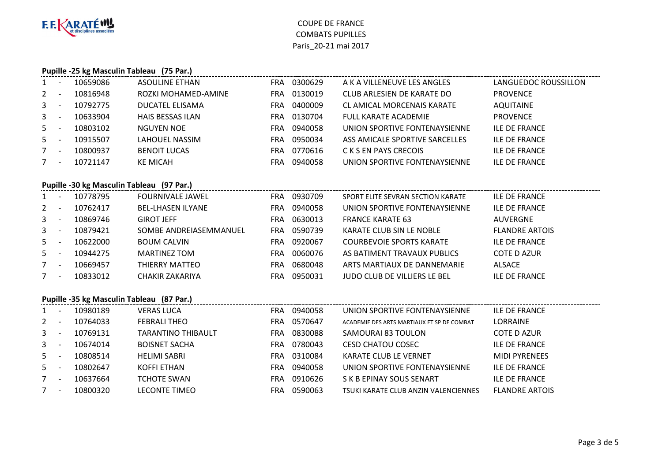

#### **Pupille -25 kg Masculin Tableau (75 Par.)**

| $1 \quad$   |           | 10659086 | ASOULINE ETHAN          | <b>FRA</b> | 0300629 | A K A VILLENEUVE LES ANGLES       | LANGUEDOC ROUSSILLON |
|-------------|-----------|----------|-------------------------|------------|---------|-----------------------------------|----------------------|
| $2 -$       |           | 10816948 | ROZKI MOHAMED-AMINE     | FRA        | 0130019 | CLUB ARLESIEN DE KARATE DO        | <b>PROVENCE</b>      |
| $3 -$       |           | 10792775 | DUCATEL ELISAMA         | FRA        | 0400009 | <b>CL AMICAL MORCENAIS KARATE</b> | <b>AQUITAINE</b>     |
| $3 -$       |           | 10633904 | <b>HAIS BESSAS ILAN</b> | FRA        | 0130704 | <b>FULL KARATE ACADEMIE</b>       | <b>PROVENCE</b>      |
| $5 -$       |           | 10803102 | NGUYEN NOE              | FRA        | 0940058 | UNION SPORTIVE FONTENAYSIENNE     | <b>ILE DE FRANCE</b> |
| $5 -$       |           | 10915507 | LAHOUEL NASSIM          | FRA        | 0950034 | ASS AMICALE SPORTIVE SARCELLES    | <b>ILE DE FRANCE</b> |
| $7^{\circ}$ | <b>11</b> | 10800937 | <b>BENOIT LUCAS</b>     | <b>FRA</b> | 0770616 | C K S EN PAYS CRECOIS             | <b>ILE DE FRANCE</b> |
| 7           |           | 10721147 | <b>KE MICAH</b>         | FRA        | 0940058 | UNION SPORTIVE FONTENAYSIENNE     | <b>ILE DE FRANCE</b> |
|             |           |          |                         |            |         |                                   |                      |

# **Pupille -30 kg Masculin Tableau (97 Par.)**

| $1 -$ | 10778795 | <b>FOURNIVALE JAWEL</b>  |     | FRA 0930709 | SPORT ELITE SEVRAN SECTION KARATE | <b>ILE DE FRANCE</b>  |
|-------|----------|--------------------------|-----|-------------|-----------------------------------|-----------------------|
| $2 -$ | 10762417 | <b>BEL-LHASEN ILYANE</b> | FRA | 0940058     | UNION SPORTIVE FONTENAYSIENNE     | <b>ILE DE FRANCE</b>  |
| $3 -$ | 10869746 | <b>GIROT JEFF</b>        | FRA | 0630013     | <b>FRANCE KARATE 63</b>           | <b>AUVERGNE</b>       |
| $3 -$ | 10879421 | SOMBE ANDREIASEMMANUEL   |     | FRA 0590739 | KARATE CLUB SIN LE NOBLE          | <b>FLANDRE ARTOIS</b> |
| $5 -$ | 10622000 | <b>BOUM CALVIN</b>       | FRA | 0920067     | <b>COURBEVOIE SPORTS KARATE</b>   | <b>ILE DE FRANCE</b>  |
| $5 -$ | 10944275 | <b>MARTINEZ TOM</b>      | FRA | 0060076     | AS BATIMENT TRAVAUX PUBLICS       | <b>COTE D AZUR</b>    |
| $7 -$ | 10669457 | THIERRY MATTEO           | FRA | 0680048     | ARTS MARTIAUX DE DANNEMARIE       | <b>ALSACE</b>         |
| $7 -$ | 10833012 | <b>CHAKIR ZAKARIYA</b>   |     | FRA 0950031 | JUDO CLUB DE VILLIERS LE BEL      | <b>ILE DE FRANCE</b>  |
|       |          |                          |     |             |                                   |                       |

### **Pupille -35 kg Masculin Tableau (87 Par.)**

|                | $\overline{\phantom{a}}$ | 10980189 | <b>VERAS LUCA</b>         | <b>FRA</b> | 0940058 | UNION SPORTIVE FONTENAYSIENNE              | ILE DE FRANCE         |
|----------------|--------------------------|----------|---------------------------|------------|---------|--------------------------------------------|-----------------------|
| $2^{\circ}$    | $\overline{\phantom{a}}$ | 10764033 | <b>FEBRALI THEO</b>       | FRA        | 0570647 | ACADEMIE DES ARTS MARTIAUX ET SP DE COMBAT | <b>LORRAINE</b>       |
| $\mathbf{3}$   | $\overline{\phantom{a}}$ | 10769131 | <b>TARANTINO THIBAULT</b> | FRA.       | 0830088 | SAMOURAI 83 TOULON                         | COTE D AZUR           |
| 3 <sup>1</sup> | $\overline{\phantom{a}}$ | 10674014 | <b>BOISNET SACHA</b>      | FRA        | 0780043 | <b>CESD CHATOU COSEC</b>                   | ILE DE FRANCE         |
| $5 -$          |                          | 10808514 | <b>HELIMI SABRI</b>       | FRA        | 0310084 | <b>KARATE CLUB LE VERNET</b>               | <b>MIDI PYRENEES</b>  |
| $5 -$          |                          | 10802647 | KOFFI ETHAN               | <b>FRA</b> | 0940058 | UNION SPORTIVE FONTENAYSIENNE              | ILE DE FRANCE         |
|                | $\overline{\phantom{0}}$ | 10637664 | <b>TCHOTE SWAN</b>        | FRA        | 0910626 | S K B EPINAY SOUS SENART                   | ILE DE FRANCE         |
|                | $\overline{\phantom{a}}$ | 10800320 | <b>LECONTE TIMEO</b>      | <b>FRA</b> | 0590063 | TSUKI KARATE CLUB ANZIN VALENCIENNES       | <b>FLANDRE ARTOIS</b> |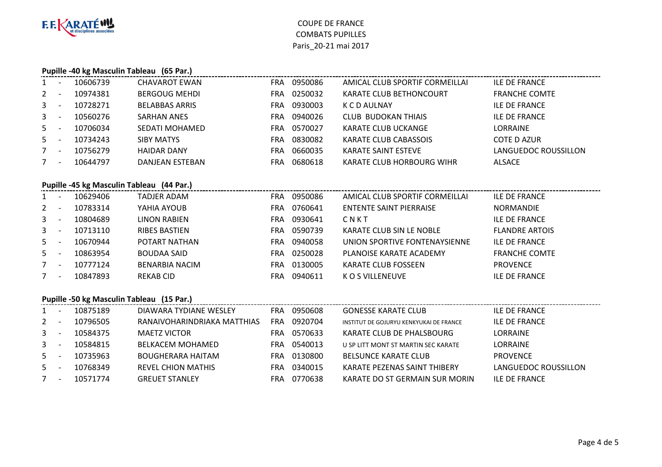

#### **Pupille -40 kg Masculin Tableau (65 Par.)**

| $\mathbf{1}$   |                          | 10606739 | <b>CHAVAROT EWAN</b>   | FRA | 0950086 | AMICAL CLUB SPORTIF CORMEILLAI | <b>ILE DE FRANCE</b> |
|----------------|--------------------------|----------|------------------------|-----|---------|--------------------------------|----------------------|
| 2              |                          | 10974381 | <b>BERGOUG MEHDI</b>   | FRA | 0250032 | KARATE CLUB BETHONCOURT        | <b>FRANCHE COMTE</b> |
| $\mathbf{3}$   |                          | 10728271 | <b>BELABBAS ARRIS</b>  | FRA | 0930003 | K C D AULNAY                   | <b>ILE DE FRANCE</b> |
| $\mathbf{3}$   | $\overline{\phantom{a}}$ | 10560276 | <b>SARHAN ANES</b>     | FRA | 0940026 | <b>CLUB BUDOKAN THIAIS</b>     | <b>ILE DE FRANCE</b> |
| 5 <sup>1</sup> |                          | 10706034 | <b>SEDATI MOHAMED</b>  | FRA | 0570027 | KARATE CLUB UCKANGE            | <b>LORRAINE</b>      |
| $5 -$          |                          | 10734243 | <b>SIBY MATYS</b>      | FRA | 0830082 | KARATE CLUB CABASSOIS          | <b>COTE D AZUR</b>   |
| $7^{\circ}$    | $\overline{\phantom{a}}$ | 10756279 | <b>HAIDAR DANY</b>     | FRA | 0660035 | KARATE SAINT ESTEVE            | LANGUEDOC ROUSSILLON |
| 7              |                          | 10644797 | <b>DANJEAN ESTEBAN</b> | FRA | 0680618 | KARATE CLUB HORBOURG WIHR      | <b>ALSACE</b>        |

# **Pupille -45 kg Masculin Tableau (44 Par.)**

| $1 -$       |                          | 10629406 | TADJER ADAM           | <b>FRA</b> | 0950086 | AMICAL CLUB SPORTIF CORMEILLAI | <b>ILE DE FRANCE</b>  |
|-------------|--------------------------|----------|-----------------------|------------|---------|--------------------------------|-----------------------|
| $2^{\circ}$ |                          | 10783314 | YAHIA AYOUB           | FRA        | 0760641 | ENTENTE SAINT PIERRAISE        | <b>NORMANDIE</b>      |
| $3 -$       |                          | 10804689 | <b>LINON RABIEN</b>   | FRA        | 0930641 | CNKT                           | <b>ILE DE FRANCE</b>  |
| $3^{\circ}$ |                          | 10713110 | <b>RIBES BASTIEN</b>  | FRA.       | 0590739 | KARATE CLUB SIN LE NOBLE       | <b>FLANDRE ARTOIS</b> |
| $5 -$       |                          | 10670944 | POTART NATHAN         | <b>FRA</b> | 0940058 | UNION SPORTIVE FONTENAYSIENNE  | <b>ILE DE FRANCE</b>  |
| $5 -$       |                          | 10863954 | <b>BOUDAA SAID</b>    | FRA.       | 0250028 | PLANOISE KARATE ACADEMY        | <b>FRANCHE COMTE</b>  |
| $7^{\circ}$ | $\overline{\phantom{0}}$ | 10777124 | <b>BENARBIA NACIM</b> | FRA.       | 0130005 | KARATE CLUB FOSSEEN            | <b>PROVENCE</b>       |
| $7 -$       |                          | 10847893 | REKAB CID             | FRA        | 0940611 | K O S VILLENEUVE               | <b>ILE DE FRANCE</b>  |
|             |                          |          |                       |            |         |                                |                       |

#### **Pupille -50 kg Masculin Tableau (15 Par.)**

|                | 10875189 | DIAWARA TYDIANE WESLEY      | <b>FRA</b> | 0950608 | <b>GONESSE KARATE CLUB</b>              | ILE DE FRANCE        |
|----------------|----------|-----------------------------|------------|---------|-----------------------------------------|----------------------|
| 2              | 10796505 | RANAIVOHARINDRIAKA MATTHIAS | FRA        | 0920704 | INSTITUT DE GOJURYU KENKYUKAI DE FRANCE | ILE DE FRANCE        |
| 3 <sup>7</sup> | 10584375 | <b>MAETZ VICTOR</b>         | FRA        | 0570633 | KARATE CLUB DE PHALSBOURG               | <b>LORRAINE</b>      |
| $\mathbf{3}$   | 10584815 | <b>BELKACEM MOHAMED</b>     | FRA        | 0540013 | U SP LITT MONT ST MARTIN SEC KARATE     | <b>LORRAINE</b>      |
| 5              | 10735963 | <b>BOUGHERARA HAITAM</b>    | FRA        | 0130800 | <b>BELSUNCE KARATE CLUB</b>             | <b>PROVENCE</b>      |
| 5              | 10768349 | REVEL CHION MATHIS          | FRA        | 0340015 | KARATE PEZENAS SAINT THIBERY            | LANGUEDOC ROUSSILLON |
|                | 10571774 | <b>GREUET STANLEY</b>       | FRA        | 0770638 | KARATE DO ST GERMAIN SUR MORIN          | <b>ILF DF FRANCE</b> |